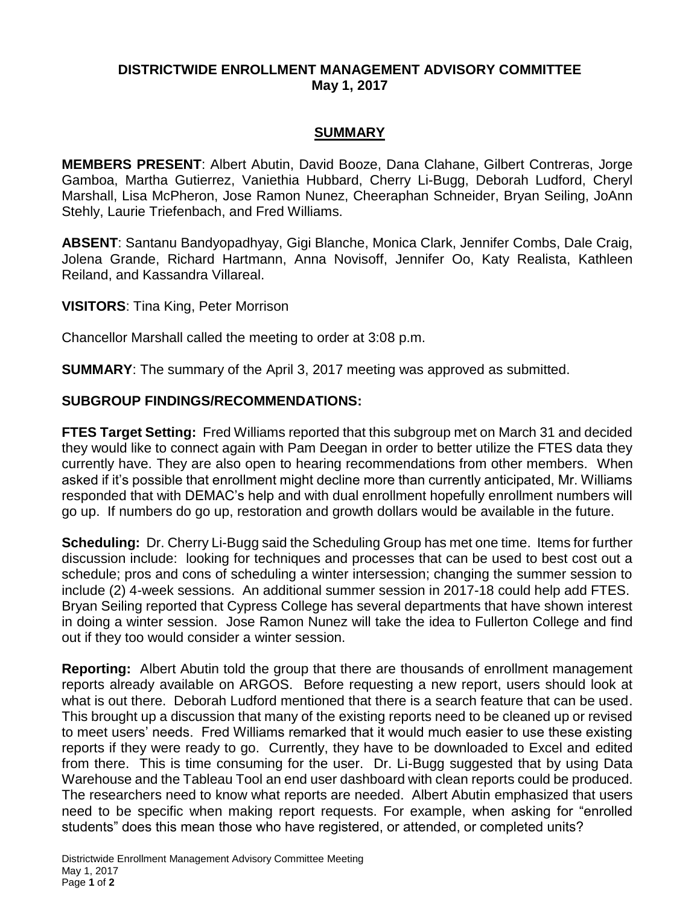#### **DISTRICTWIDE ENROLLMENT MANAGEMENT ADVISORY COMMITTEE May 1, 2017**

#### **SUMMARY**

**MEMBERS PRESENT**: Albert Abutin, David Booze, Dana Clahane, Gilbert Contreras, Jorge Gamboa, Martha Gutierrez, Vaniethia Hubbard, Cherry Li-Bugg, Deborah Ludford, Cheryl Marshall, Lisa McPheron, Jose Ramon Nunez, Cheeraphan Schneider, Bryan Seiling, JoAnn Stehly, Laurie Triefenbach, and Fred Williams.

**ABSENT**: Santanu Bandyopadhyay, Gigi Blanche, Monica Clark, Jennifer Combs, Dale Craig, Jolena Grande, Richard Hartmann, Anna Novisoff, Jennifer Oo, Katy Realista, Kathleen Reiland, and Kassandra Villareal.

**VISITORS**: Tina King, Peter Morrison

Chancellor Marshall called the meeting to order at 3:08 p.m.

**SUMMARY**: The summary of the April 3, 2017 meeting was approved as submitted.

## **SUBGROUP FINDINGS/RECOMMENDATIONS:**

**FTES Target Setting:** Fred Williams reported that this subgroup met on March 31 and decided they would like to connect again with Pam Deegan in order to better utilize the FTES data they currently have. They are also open to hearing recommendations from other members. When asked if it's possible that enrollment might decline more than currently anticipated, Mr. Williams responded that with DEMAC's help and with dual enrollment hopefully enrollment numbers will go up. If numbers do go up, restoration and growth dollars would be available in the future.

**Scheduling:** Dr. Cherry Li-Bugg said the Scheduling Group has met one time. Items for further discussion include: looking for techniques and processes that can be used to best cost out a schedule; pros and cons of scheduling a winter intersession; changing the summer session to include (2) 4-week sessions. An additional summer session in 2017-18 could help add FTES. Bryan Seiling reported that Cypress College has several departments that have shown interest in doing a winter session. Jose Ramon Nunez will take the idea to Fullerton College and find out if they too would consider a winter session.

**Reporting:** Albert Abutin told the group that there are thousands of enrollment management reports already available on ARGOS. Before requesting a new report, users should look at what is out there. Deborah Ludford mentioned that there is a search feature that can be used. This brought up a discussion that many of the existing reports need to be cleaned up or revised to meet users' needs. Fred Williams remarked that it would much easier to use these existing reports if they were ready to go. Currently, they have to be downloaded to Excel and edited from there. This is time consuming for the user. Dr. Li-Bugg suggested that by using Data Warehouse and the Tableau Tool an end user dashboard with clean reports could be produced. The researchers need to know what reports are needed. Albert Abutin emphasized that users need to be specific when making report requests. For example, when asking for "enrolled students" does this mean those who have registered, or attended, or completed units?